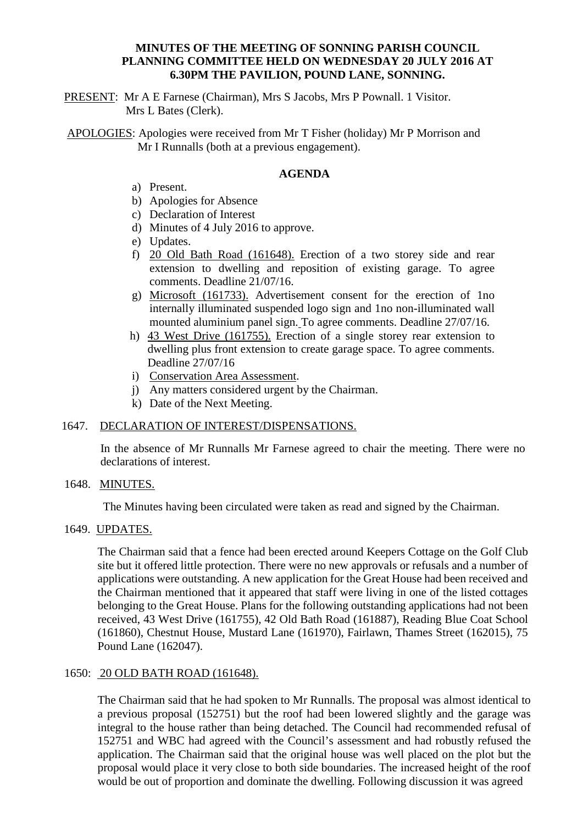# **MINUTES OF THE MEETING OF SONNING PARISH COUNCIL PLANNING COMMITTEE HELD ON WEDNESDAY 20 JULY 2016 AT 6.30PM THE PAVILION, POUND LANE, SONNING.**

PRESENT: Mr A E Farnese (Chairman), Mrs S Jacobs, Mrs P Pownall. 1 Visitor. Mrs L Bates (Clerk).

APOLOGIES: Apologies were received from Mr T Fisher (holiday) Mr P Morrison and Mr I Runnalls (both at a previous engagement).

## **AGENDA**

- a) Present.
- b) Apologies for Absence
- c) Declaration of Interest
- d) Minutes of 4 July 2016 to approve.
- e) Updates.
- f) 20 Old Bath Road (161648). Erection of a two storey side and rear extension to dwelling and reposition of existing garage. To agree comments. Deadline 21/07/16.
- g) Microsoft (161733). Advertisement consent for the erection of 1no internally illuminated suspended logo sign and 1no non-illuminated wall mounted aluminium panel sign. To agree comments. Deadline 27/07/16.
- h) 43 West Drive (161755). Erection of a single storey rear extension to dwelling plus front extension to create garage space. To agree comments. Deadline 27/07/16
- i) Conservation Area Assessment.
- j) Any matters considered urgent by the Chairman.
- k) Date of the Next Meeting.

### 1647. DECLARATION OF INTEREST/DISPENSATIONS.

In the absence of Mr Runnalls Mr Farnese agreed to chair the meeting. There were no declarations of interest.

# 1648. MINUTES.

The Minutes having been circulated were taken as read and signed by the Chairman.

# 1649. UPDATES.

The Chairman said that a fence had been erected around Keepers Cottage on the Golf Club site but it offered little protection. There were no new approvals or refusals and a number of applications were outstanding. A new application for the Great House had been received and the Chairman mentioned that it appeared that staff were living in one of the listed cottages belonging to the Great House. Plans for the following outstanding applications had not been received, 43 West Drive (161755), 42 Old Bath Road (161887), Reading Blue Coat School (161860), Chestnut House, Mustard Lane (161970), Fairlawn, Thames Street (162015), 75 Pound Lane (162047).

#### 1650: 20 OLD BATH ROAD (161648).

The Chairman said that he had spoken to Mr Runnalls. The proposal was almost identical to a previous proposal (152751) but the roof had been lowered slightly and the garage was integral to the house rather than being detached. The Council had recommended refusal of 152751 and WBC had agreed with the Council's assessment and had robustly refused the application. The Chairman said that the original house was well placed on the plot but the proposal would place it very close to both side boundaries. The increased height of the roof would be out of proportion and dominate the dwelling. Following discussion it was agreed